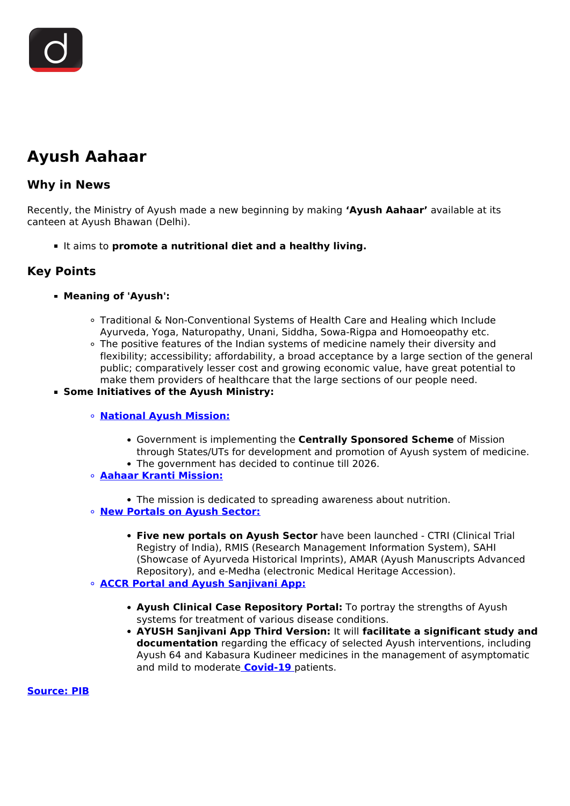## **Ayush Aahaar**

## **Why in News**

Recently, the Ministry of Ayush made a new beginning by making **'Ayush Aahaar'** available at its canteen at Ayush Bhawan (Delhi).

It aims to **promote a nutritional diet and a healthy living.**

## **Key Points**

## **Meaning of 'Ayush':**

- Traditional & Non-Conventional Systems of Health Care and Healing which Include Ayurveda, Yoga, Naturopathy, Unani, Siddha, Sowa-Rigpa and Homoeopathy etc.
- The positive features of the Indian systems of medicine namely their diversity and flexibility; accessibility; affordability, a broad acceptance by a large section of the general public; comparatively lesser cost and growing economic value, have great potential to make them providers of healthcare that the large sections of our people need.
- **Some Initiatives of the Ayush Ministry:**
	- **[National Ayush Mission:](/daily-updates/daily-news-analysis/national-ayush-mission-1)**
		- Government is implementing the **Centrally Sponsored Scheme** of Mission through States/UTs for development and promotion of Ayush system of medicine.
		- The government has decided to continue till 2026.
	- **[Aahaar Kranti Mission:](/daily-updates/daily-news-analysis/aahaar-kranti-mission)**
		- The mission is dedicated to spreading awareness about nutrition.
	- **[New Portals on Ayush Sector:](/daily-updates/daily-news-analysis/new-portals-on-ayush-sector)**
		- **Five new portals on Ayush Sector** have been launched CTRI (Clinical Trial Registry of India), RMIS (Research Management Information System), SAHI (Showcase of Ayurveda Historical Imprints), AMAR (Ayush Manuscripts Advanced Repository), and e-Medha (electronic Medical Heritage Accession).
	- **[ACCR Portal and Ayush Sanjivani App:](/daily-updates/daily-news-analysis/accr-portal-ayush-sanjivani-app)**
		- **Ayush Clinical Case Repository Portal:** To portray the strengths of Ayush systems for treatment of various disease conditions.
		- **AYUSH Sanjivani App Third Version:** It will **facilitate a significant study and documentation** regarding the efficacy of selected Ayush interventions, including Ayush 64 and Kabasura Kudineer medicines in the management of asymptomatic and mild to moderate **[Covid-19](/loksabha-rajyasabha-discussions/the-big-picture-india-s-covid-pandemic-management)** patients.

**[Source: PIB](https://www.pib.gov.in/PressReleasePage.aspx?PRID=1787142)**